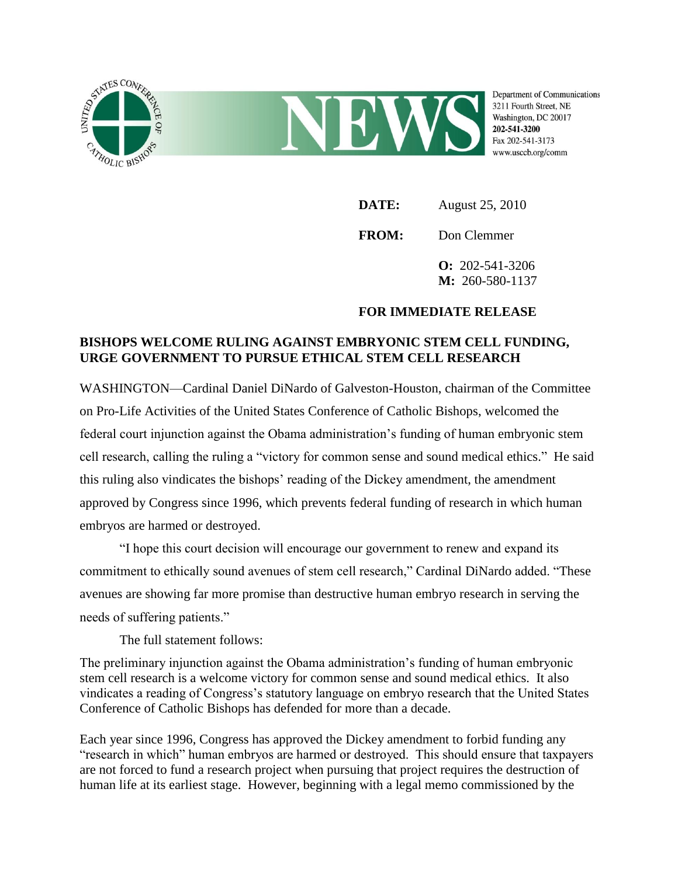

**DATE:** August 25, 2010 **FROM:** Don Clemmer **O:** 202-541-3206 **M:** 260-580-1137

## **FOR IMMEDIATE RELEASE**

## **BISHOPS WELCOME RULING AGAINST EMBRYONIC STEM CELL FUNDING, URGE GOVERNMENT TO PURSUE ETHICAL STEM CELL RESEARCH**

WASHINGTON—Cardinal Daniel DiNardo of Galveston-Houston, chairman of the Committee on Pro-Life Activities of the United States Conference of Catholic Bishops, welcomed the federal court injunction against the Obama administration's funding of human embryonic stem cell research, calling the ruling a "victory for common sense and sound medical ethics." He said this ruling also vindicates the bishops' reading of the Dickey amendment, the amendment approved by Congress since 1996, which prevents federal funding of research in which human embryos are harmed or destroyed.

"I hope this court decision will encourage our government to renew and expand its commitment to ethically sound avenues of stem cell research," Cardinal DiNardo added. "These avenues are showing far more promise than destructive human embryo research in serving the needs of suffering patients."

The full statement follows:

The preliminary injunction against the Obama administration's funding of human embryonic stem cell research is a welcome victory for common sense and sound medical ethics. It also vindicates a reading of Congress's statutory language on embryo research that the United States Conference of Catholic Bishops has defended for more than a decade.

Each year since 1996, Congress has approved the Dickey amendment to forbid funding any "research in which" human embryos are harmed or destroyed. This should ensure that taxpayers are not forced to fund a research project when pursuing that project requires the destruction of human life at its earliest stage. However, beginning with a legal memo commissioned by the